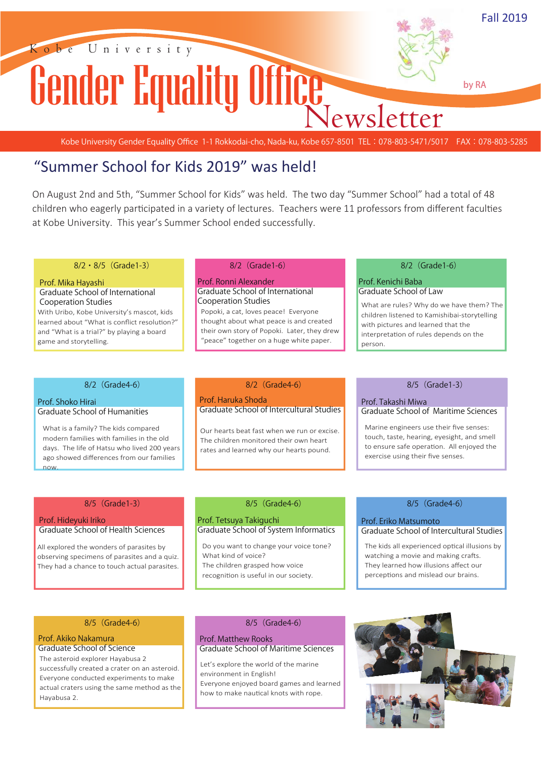

Kobe University Gender Equality Office 1-1 Rokkodai-cho, Nada-ku, Kobe 657-8501 TEL: 078-803-5471/5017 FAX: 078-803-5285

### "Summer School for Kids 2019" was held!

On August 2nd and 5th, "Summer School for Kids" was held. The two day "Summer School" had a total of 48 children who eagerly participated in a variety of lectures. Teachers were 11 professors from different faculties at Kobe University. This year's Summer School ended successfully.

#### **8/2・8/5(Grade1-3)**

#### **Prof. Mika Hayashi Graduate School of International Cooperation Studies**

With Uribo, Kobe University's mascot, kids learned about "What is conflict resolution?" and "What is a trial?" by playing a board game and storytelling.

#### **8/2(Grade1-6)**

#### **Prof. Ronni Alexander Graduate School of International Cooperation Studies**

Popoki, a cat, loves peace! Everyone thought about what peace is and created their own story of Popoki. Later, they drew "peace" together on a huge white paper.

#### **8/2(Grade1-6)**

#### **Prof. Kenichi Baba Graduate School of Law**

What are rules? Why do we have them? The children listened to Kamishibai-storytelling with pictures and learned that the interpretation of rules depends on the person.

#### **8/2(Grade4-6)**

#### **Prof. Shoko Hirai Graduate School of Humanities**

What is a family? The kids compared modern families with families in the old days. The life of Hatsu who lived 200 years ago showed differences from our families now.

#### **8/2(Grade4-6) 8/5(Grade1-3)**

#### **Prof. Haruka Shoda Graduate School of Intercultural Studies**

Our hearts beat fast when we run or excise. The children monitored their own heart rates and learned why our hearts pound.

### **Prof. Takashi Miwa Graduate School of Maritime Sciences**

Marine engineers use their five senses: touch, taste, hearing, eyesight, and smell to ensure safe operation. All enjoyed the exercise using their five senses.

#### **8/5(Grade1-3)**

#### **Prof. Hideyuki Iriko Graduate School of Health Sciences**

All explored the wonders of parasites by observing specimens of parasites and a quiz. They had a chance to touch actual parasites.

#### **8/5(Grade4-6)**

#### **Prof. Tetsuya Takiguchi Graduate School of System Informatics**

Do you want to change your voice tone? What kind of voice? The children grasped how voice recognition is useful in our society.

#### **8/5(Grade4-6)**

**Prof. Eriko Matsumoto Graduate School of Intercultural Studies**

The kids all experienced optical illusions by watching a movie and making crafts. They learned how illusions affect our perceptions and mislead our brains.

#### **8/5(Grade4-6) 8/5(Grade4-6)**

#### **Prof. Akiko Nakamura Graduate School of Science**

The asteroid explorer Hayabusa 2 successfully created a crater on an asteroid. Everyone conducted experiments to make actual craters using the same method as the Hayabusa 2.

#### **Prof. Matthew Rooks Graduate School of Maritime Sciences**

Let's explore the world of the marine environment in English! Everyone enjoyed board games and learned how to make nautical knots with rope.

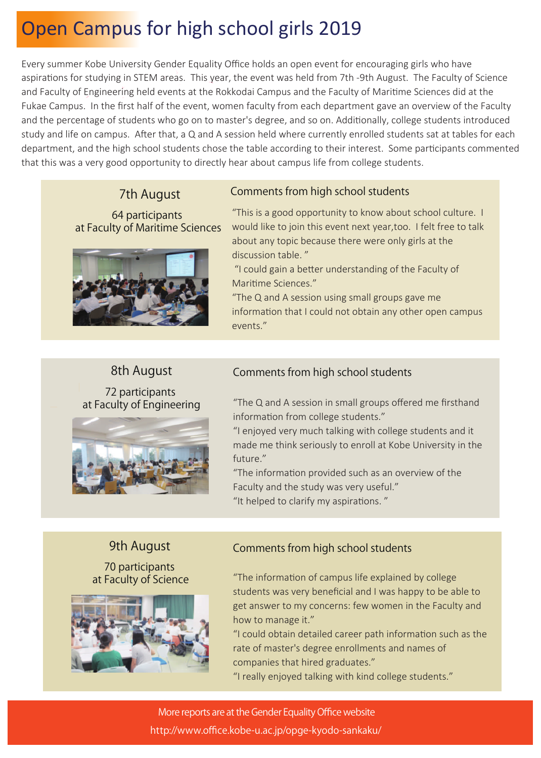# Open Campus for high school girls 2019

Every summer Kobe University Gender Equality Office holds an open event for encouraging girls who have aspirations for studying in STEM areas. This year, the event was held from 7th -9th August. The Faculty of Science and Faculty of Engineering held events at the Rokkodai Campus and the Faculty of Maritime Sciences did at the Fukae Campus. In the first half of the event, women faculty from each department gave an overview of the Faculty and the percentage of students who go on to master's degree, and so on. Additionally, college students introduced study and life on campus. After that, a Q and A session held where currently enrolled students sat at tables for each department, and the high school students chose the table according to their interest. Some participants commented that this was a very good opportunity to directly hear about campus life from college students.

7th August

64 participants at Faculty of Maritime Sciences



## Comments from high school students

"This is a good opportunity to know about school culture. I would like to join this event next year,too. I felt free to talk about any topic because there were only girls at the discussion table. "

 "I could gain a better understanding of the Faculty of Maritime Sciences."

"The Q and A session using small groups gave me information that I could not obtain any other open campus events."

### 8th August

72 participants at Faculty of Engineering



### Comments from high school students

"The Q and A session in small groups offered me firsthand information from college students."

"I enjoyed very much talking with college students and it made me think seriously to enroll at Kobe University in the future."

"The information provided such as an overview of the Faculty and the study was very useful." "It helped to clarify my aspirations. "

### 9th August 70 participants

at Faculty of Science



### Comments from high school students

"The information of campus life explained by college students was very beneficial and I was happy to be able to get answer to my concerns: few women in the Faculty and how to manage it."

"I could obtain detailed career path information such as the rate of master's degree enrollments and names of companies that hired graduates."

"I really enjoyed talking with kind college students."

More reports are at the Gender Equality Office website http://www.office.kobe-u.ac.jp/opge-kyodo-sankaku/